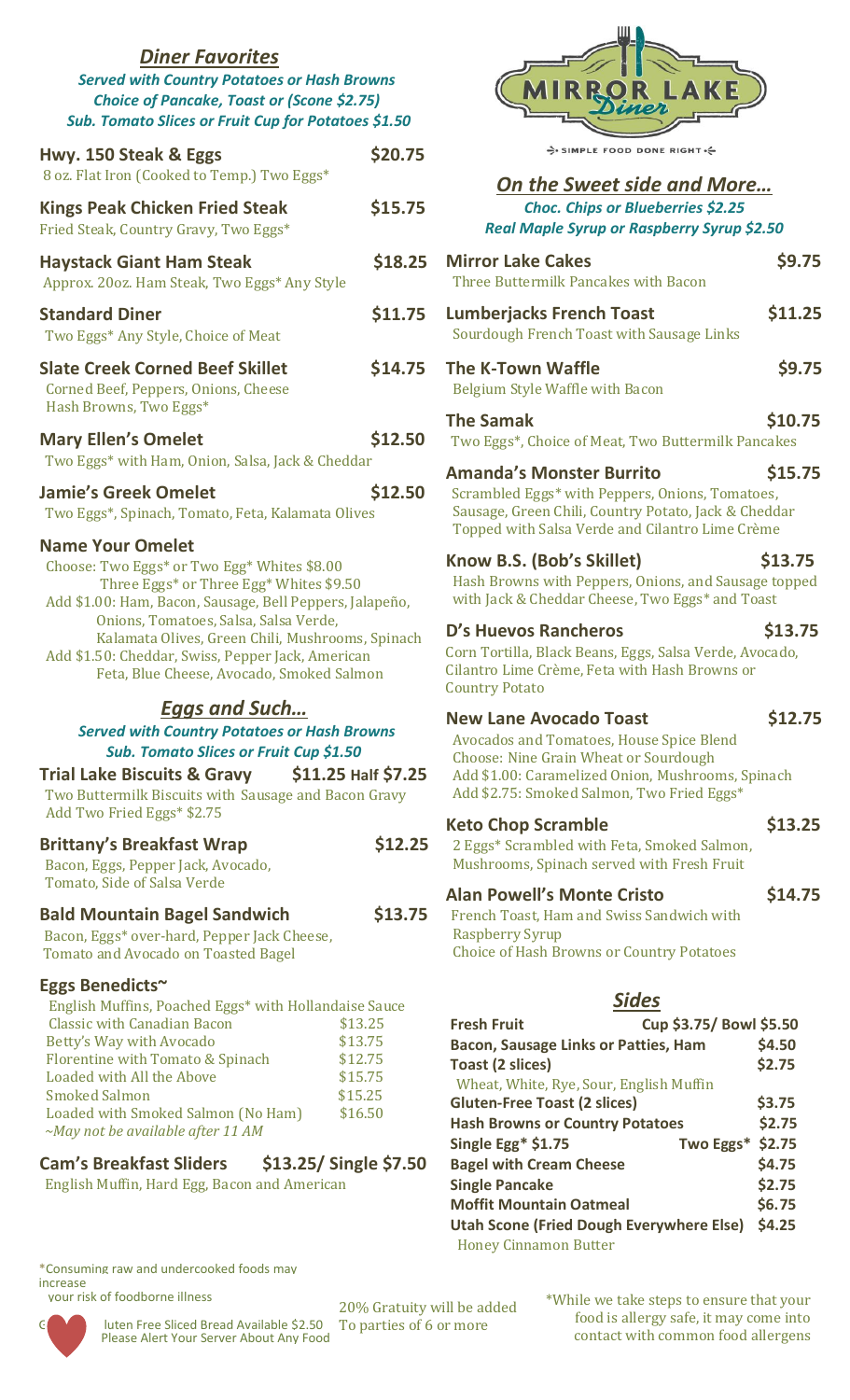| <b>Diner Favorites</b><br><b>Served with Country Potatoes or Hash Browns</b><br>Choice of Pancake, Toast or (Scone \$2.75)<br>Sub. Tomato Slices or Fruit Cup for Potatoes \$1.50                                                                                                                                                                                                                                                                  |         |
|----------------------------------------------------------------------------------------------------------------------------------------------------------------------------------------------------------------------------------------------------------------------------------------------------------------------------------------------------------------------------------------------------------------------------------------------------|---------|
| Hwy. 150 Steak & Eggs<br>8 oz. Flat Iron (Cooked to Temp.) Two Eggs*                                                                                                                                                                                                                                                                                                                                                                               | \$20.75 |
| <b>Kings Peak Chicken Fried Steak</b><br>Fried Steak, Country Gravy, Two Eggs*                                                                                                                                                                                                                                                                                                                                                                     | \$15.75 |
| <b>Haystack Giant Ham Steak</b><br>Approx. 20oz. Ham Steak, Two Eggs* Any Style                                                                                                                                                                                                                                                                                                                                                                    | \$18.25 |
| <b>Standard Diner</b><br>Two Eggs* Any Style, Choice of Meat                                                                                                                                                                                                                                                                                                                                                                                       | \$11.75 |
| <b>Slate Creek Corned Beef Skillet</b><br>Corned Beef, Peppers, Onions, Cheese<br>Hash Browns, Two Eggs*                                                                                                                                                                                                                                                                                                                                           | \$14.75 |
| <b>Mary Ellen's Omelet</b><br>Two Eggs* with Ham, Onion, Salsa, Jack & Cheddar                                                                                                                                                                                                                                                                                                                                                                     | \$12.50 |
| <b>Jamie's Greek Omelet</b><br>Two Eggs*, Spinach, Tomato, Feta, Kalamata Olives                                                                                                                                                                                                                                                                                                                                                                   | \$12.50 |
| <b>Name Your Omelet</b><br>Choose: Two Eggs* or Two Egg* Whites \$8.00<br>Three Eggs* or Three Egg* Whites \$9.50<br>Add \$1.00: Ham, Bacon, Sausage, Bell Peppers, Jalapeño,<br>Onions, Tomatoes, Salsa, Salsa Verde,<br>Kalamata Olives, Green Chili, Mushrooms, Spinach<br>Add \$1.50: Cheddar, Swiss, Pepper Jack, American<br>Feta, Blue Cheese, Avocado, Smoked Salmon                                                                       |         |
| <b>Eggs and Such</b><br><b>Served with Country Potatoes or Hash Browns</b><br>Sub. Tomato Slices or Fruit Cup \$1.50<br>\$11.25 Half \$7.25<br><b>Trial Lake Biscuits &amp; Gravy</b><br>Two Buttermilk Biscuits with Sausage and Bacon Gravy<br>Add Two Fried Eggs* \$2.75                                                                                                                                                                        |         |
| <b>Brittany's Breakfast Wrap</b><br>Bacon, Eggs, Pepper Jack, Avocado,<br>Tomato, Side of Salsa Verde                                                                                                                                                                                                                                                                                                                                              | \$12.25 |
| <b>Bald Mountain Bagel Sandwich</b><br>Bacon, Eggs* over-hard, Pepper Jack Cheese,<br><b>Tomato and Avocado on Toasted Bagel</b>                                                                                                                                                                                                                                                                                                                   | \$13.75 |
| Eggs Benedicts~<br>English Muffins, Poached Eggs* with Hollandaise Sauce<br><b>Classic with Canadian Bacon</b><br>\$13.25<br>Betty's Way with Avocado<br>\$13.75<br>\$12.75<br>Florentine with Tomato & Spinach<br>\$15.75<br>Loaded with All the Above<br><b>Smoked Salmon</b><br>\$15.25<br>\$16.50<br>Loaded with Smoked Salmon (No Ham)<br>$\sim$ May not be available after 11 AM<br><b>Cam's Breakfast Sliders</b><br>\$13.25/ Single \$7.50 |         |

English Muffin, Hard Egg, Bacon and American

#### \*Consuming raw and undercooked foods may increase

your risk of foodborne illness



luten Free Sliced Bread Available \$2.50 Please Alert Your Server About Any Food

SIMPLE FOOD DONE RIGHT.

### *On the Sweet side and More… Choc. Chips or Blueberries \$2.25 Real Maple Syrup or Raspberry Syrup \$2.50*

| <b>Mirror Lake Cakes</b><br>Three Buttermilk Pancakes with Bacon                                                                                                                                                                    | \$9.75  |
|-------------------------------------------------------------------------------------------------------------------------------------------------------------------------------------------------------------------------------------|---------|
| <b>Lumberjacks French Toast</b><br>Sourdough French Toast with Sausage Links                                                                                                                                                        | \$11.25 |
| <b>The K-Town Waffle</b><br>Belgium Style Waffle with Bacon                                                                                                                                                                         | \$9.75  |
| <b>The Samak</b><br>Two Eggs*, Choice of Meat, Two Buttermilk Pancakes                                                                                                                                                              | \$10.75 |
| <b>Amanda's Monster Burrito</b><br>Scrambled Eggs* with Peppers, Onions, Tomatoes,<br>Sausage, Green Chili, Country Potato, Jack & Cheddar<br>Topped with Salsa Verde and Cilantro Lime Crème                                       | \$15.75 |
| Know B.S. (Bob's Skillet)<br>Hash Browns with Peppers, Onions, and Sausage topped<br>with Jack & Cheddar Cheese, Two Eggs* and Toast                                                                                                | \$13.75 |
| D's Huevos Rancheros<br>Corn Tortilla, Black Beans, Eggs, Salsa Verde, Avocado,<br>Cilantro Lime Crème, Feta with Hash Browns or<br><b>Country Potato</b>                                                                           | \$13.75 |
| <b>New Lane Avocado Toast</b><br><b>Avocados and Tomatoes, House Spice Blend</b><br><b>Choose: Nine Grain Wheat or Sourdough</b><br>Add \$1.00: Caramelized Onion, Mushrooms, Spinach<br>Add \$2.75: Smoked Salmon, Two Fried Eggs* | \$12.75 |
| <b>Keto Chop Scramble</b><br>2 Eggs* Scrambled with Feta, Smoked Salmon,<br>Mushrooms, Spinach served with Fresh Fruit                                                                                                              | \$13.25 |
| <b>Alan Powell's Monte Cristo</b><br>French Toast, Ham and Swiss Sandwich with<br><b>Raspberry Syrup</b><br><b>Choice of Hash Browns or Country Potatoes</b>                                                                        | \$14.75 |
| <b>Sides</b>                                                                                                                                                                                                                        |         |
| Cup \$3.75/ Bowl \$5.50<br><b>Fresh Fruit</b>                                                                                                                                                                                       |         |
| <b>Bacon, Sausage Links or Patties, Ham</b>                                                                                                                                                                                         | \$4.50  |
| Toast (2 slices)<br>Wheat, White, Rye, Sour, English Muffin                                                                                                                                                                         | \$2.75  |
| <b>Gluten-Free Toast (2 slices)</b>                                                                                                                                                                                                 | \$3.75  |
| <b>Hash Browns or Country Potatoes</b>                                                                                                                                                                                              | \$2.75  |

Honey Cinnamon Butter

\*While we take steps to ensure that your food is allergy safe, it may come into contact with common food allergens

**Single Egg\* \$1.75 Two Eggs\* \$2.75 Bagel with Cream Cheese** \$4.75 **Single Pancake \$2.75 Moffit Mountain Oatmeal \$6.75 Utah Scone (Fried Dough Everywhere Else) \$4.25**

20% Gratuity will be added To parties of 6 or more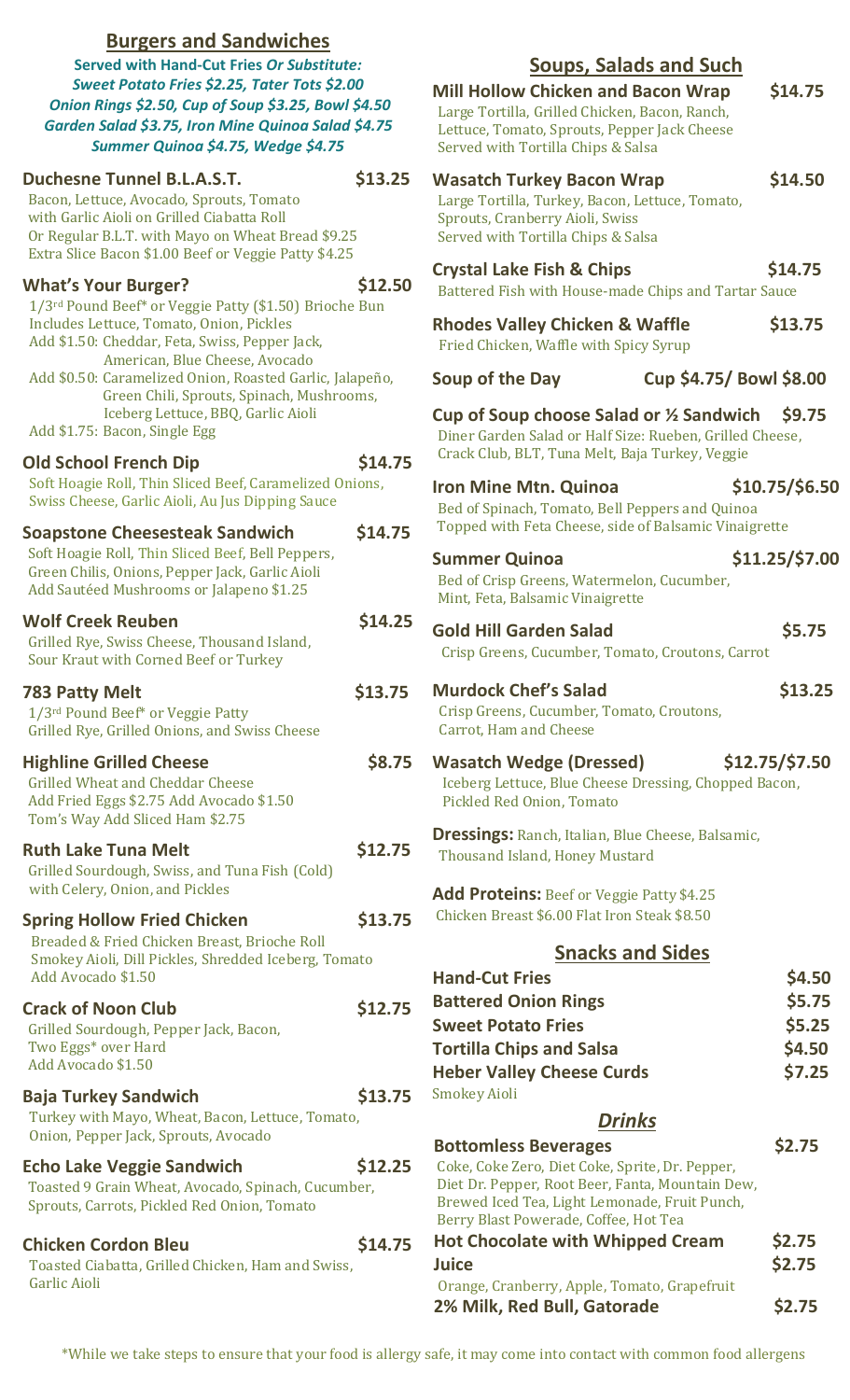| <b>Burgers and Sandwiches</b><br><b>Served with Hand-Cut Fries Or Substitute:</b><br>Sweet Potato Fries \$2.25, Tater Tots \$2.00<br>Onion Rings \$2.50, Cup of Soup \$3.25, Bowl \$4.50<br>Garden Salad \$3.75, Iron Mine Quinoa Salad \$4.75<br>Summer Quinoa \$4.75, Wedge \$4.75 |         | <b>Soups, Salads and Such</b><br>\$14.75<br><b>Mill Hollow Chicken and Bacon Wrap</b><br>Large Tortilla, Grilled Chicken, Bacon, Ranch,<br>Lettuce, Tomato, Sprouts, Pepper Jack Cheese<br>Served with Tortilla Chips & Salsa |                                      |
|--------------------------------------------------------------------------------------------------------------------------------------------------------------------------------------------------------------------------------------------------------------------------------------|---------|-------------------------------------------------------------------------------------------------------------------------------------------------------------------------------------------------------------------------------|--------------------------------------|
| <b>Duchesne Tunnel B.L.A.S.T.</b><br>Bacon, Lettuce, Avocado, Sprouts, Tomato<br>with Garlic Aioli on Grilled Ciabatta Roll<br>Or Regular B.L.T. with Mayo on Wheat Bread \$9.25<br>Extra Slice Bacon \$1.00 Beef or Veggie Patty \$4.25                                             | \$13.25 | <b>Wasatch Turkey Bacon Wrap</b><br>Large Tortilla, Turkey, Bacon, Lettuce, Tomato,<br>Sprouts, Cranberry Aioli, Swiss<br>Served with Tortilla Chips & Salsa                                                                  | \$14.50                              |
| <b>What's Your Burger?</b><br>1/3rd Pound Beef* or Veggie Patty (\$1.50) Brioche Bun<br>Includes Lettuce, Tomato, Onion, Pickles<br>Add \$1.50: Cheddar, Feta, Swiss, Pepper Jack,                                                                                                   | \$12.50 | <b>Crystal Lake Fish &amp; Chips</b><br>Battered Fish with House-made Chips and Tartar Sauce<br><b>Rhodes Valley Chicken &amp; Waffle</b><br>Fried Chicken, Waffle with Spicy Syrup                                           | \$14.75<br>\$13.75                   |
| American, Blue Cheese, Avocado<br>Add \$0.50: Caramelized Onion, Roasted Garlic, Jalapeño,<br>Green Chili, Sprouts, Spinach, Mushrooms,<br>Iceberg Lettuce, BBQ, Garlic Aioli                                                                                                        |         | Cup \$4.75/ Bowl \$8.00<br>Soup of the Day<br>Cup of Soup choose Salad or 1/2 Sandwich                                                                                                                                        | <b>\$9.75</b>                        |
| Add \$1.75: Bacon, Single Egg<br><b>Old School French Dip</b>                                                                                                                                                                                                                        | \$14.75 | Diner Garden Salad or Half Size: Rueben, Grilled Cheese,<br>Crack Club, BLT, Tuna Melt, Baja Turkey, Veggie                                                                                                                   |                                      |
| Soft Hoagie Roll, Thin Sliced Beef, Caramelized Onions,<br>Swiss Cheese, Garlic Aioli, Au Jus Dipping Sauce                                                                                                                                                                          |         | \$10.75/\$6.50<br><b>Iron Mine Mtn. Quinoa</b><br>Bed of Spinach, Tomato, Bell Peppers and Quinoa                                                                                                                             |                                      |
| <b>Soapstone Cheesesteak Sandwich</b><br>Soft Hoagie Roll, Thin Sliced Beef, Bell Peppers,<br>Green Chilis, Onions, Pepper Jack, Garlic Aioli<br>Add Sautéed Mushrooms or Jalapeno \$1.25                                                                                            | \$14.75 | Topped with Feta Cheese, side of Balsamic Vinaigrette<br><b>Summer Quinoa</b><br>Bed of Crisp Greens, Watermelon, Cucumber,<br>Mint, Feta, Balsamic Vinaigrette                                                               | \$11.25/\$7.00                       |
| <b>Wolf Creek Reuben</b><br>Grilled Rye, Swiss Cheese, Thousand Island,<br>Sour Kraut with Corned Beef or Turkey                                                                                                                                                                     | \$14.25 | <b>Gold Hill Garden Salad</b><br>Crisp Greens, Cucumber, Tomato, Croutons, Carrot                                                                                                                                             | \$5.75                               |
| <b>783 Patty Melt</b><br>1/3rd Pound Beef* or Veggie Patty<br>Grilled Rye, Grilled Onions, and Swiss Cheese                                                                                                                                                                          | \$13.75 | <b>Murdock Chef's Salad</b><br>Crisp Greens, Cucumber, Tomato, Croutons,<br>Carrot, Ham and Cheese                                                                                                                            | \$13.25                              |
| <b>Highline Grilled Cheese</b><br><b>Grilled Wheat and Cheddar Cheese</b><br>Add Fried Eggs \$2.75 Add Avocado \$1.50<br>Tom's Way Add Sliced Ham \$2.75                                                                                                                             | \$8.75  | $$12.75$ /\$7.50<br><b>Wasatch Wedge (Dressed)</b><br>Iceberg Lettuce, Blue Cheese Dressing, Chopped Bacon,<br>Pickled Red Onion, Tomato                                                                                      |                                      |
| <b>Ruth Lake Tuna Melt</b><br>Grilled Sourdough, Swiss, and Tuna Fish (Cold)                                                                                                                                                                                                         | \$12.75 | <b>Dressings: Ranch, Italian, Blue Cheese, Balsamic,</b><br>Thousand Island, Honey Mustard                                                                                                                                    |                                      |
| with Celery, Onion, and Pickles<br><b>Spring Hollow Fried Chicken</b><br>Breaded & Fried Chicken Breast, Brioche Roll                                                                                                                                                                | \$13.75 | Add Proteins: Beef or Veggie Patty \$4.25<br>Chicken Breast \$6.00 Flat Iron Steak \$8.50                                                                                                                                     |                                      |
| Smokey Aioli, Dill Pickles, Shredded Iceberg, Tomato<br>Add Avocado \$1.50                                                                                                                                                                                                           |         | <b>Snacks and Sides</b><br><b>Hand-Cut Fries</b>                                                                                                                                                                              | \$4.50                               |
| <b>Crack of Noon Club</b><br>Grilled Sourdough, Pepper Jack, Bacon,<br>Two Eggs* over Hard<br>Add Avocado \$1.50                                                                                                                                                                     | \$12.75 | <b>Battered Onion Rings</b><br><b>Sweet Potato Fries</b><br><b>Tortilla Chips and Salsa</b><br><b>Heber Valley Cheese Curds</b>                                                                                               | \$5.75<br>\$5.25<br>\$4.50<br>\$7.25 |
| <b>Baja Turkey Sandwich</b><br>Turkey with Mayo, Wheat, Bacon, Lettuce, Tomato,<br>Onion, Pepper Jack, Sprouts, Avocado                                                                                                                                                              | \$13.75 | <b>Smokey Aioli</b><br><b>Drinks</b>                                                                                                                                                                                          |                                      |
| <b>Echo Lake Veggie Sandwich</b><br>Toasted 9 Grain Wheat, Avocado, Spinach, Cucumber,<br>Sprouts, Carrots, Pickled Red Onion, Tomato                                                                                                                                                | \$12.25 | <b>Bottomless Beverages</b><br>Coke, Coke Zero, Diet Coke, Sprite, Dr. Pepper,<br>Diet Dr. Pepper, Root Beer, Fanta, Mountain Dew,<br>Brewed Iced Tea, Light Lemonade, Fruit Punch,<br>Berry Blast Powerade, Coffee, Hot Tea  | \$2.75                               |
| <b>Chicken Cordon Bleu</b><br>Toasted Ciabatta, Grilled Chicken, Ham and Swiss,<br>Garlic Aioli                                                                                                                                                                                      | \$14.75 | <b>Hot Chocolate with Whipped Cream</b><br><b>Juice</b>                                                                                                                                                                       | \$2.75<br>\$2.75                     |
|                                                                                                                                                                                                                                                                                      |         | Orange, Cranberry, Apple, Tomato, Grapefruit<br>2% Milk, Red Bull, Gatorade                                                                                                                                                   | \$2.75                               |

\*While we take steps to ensure that your food is allergy safe, it may come into contact with common food allergens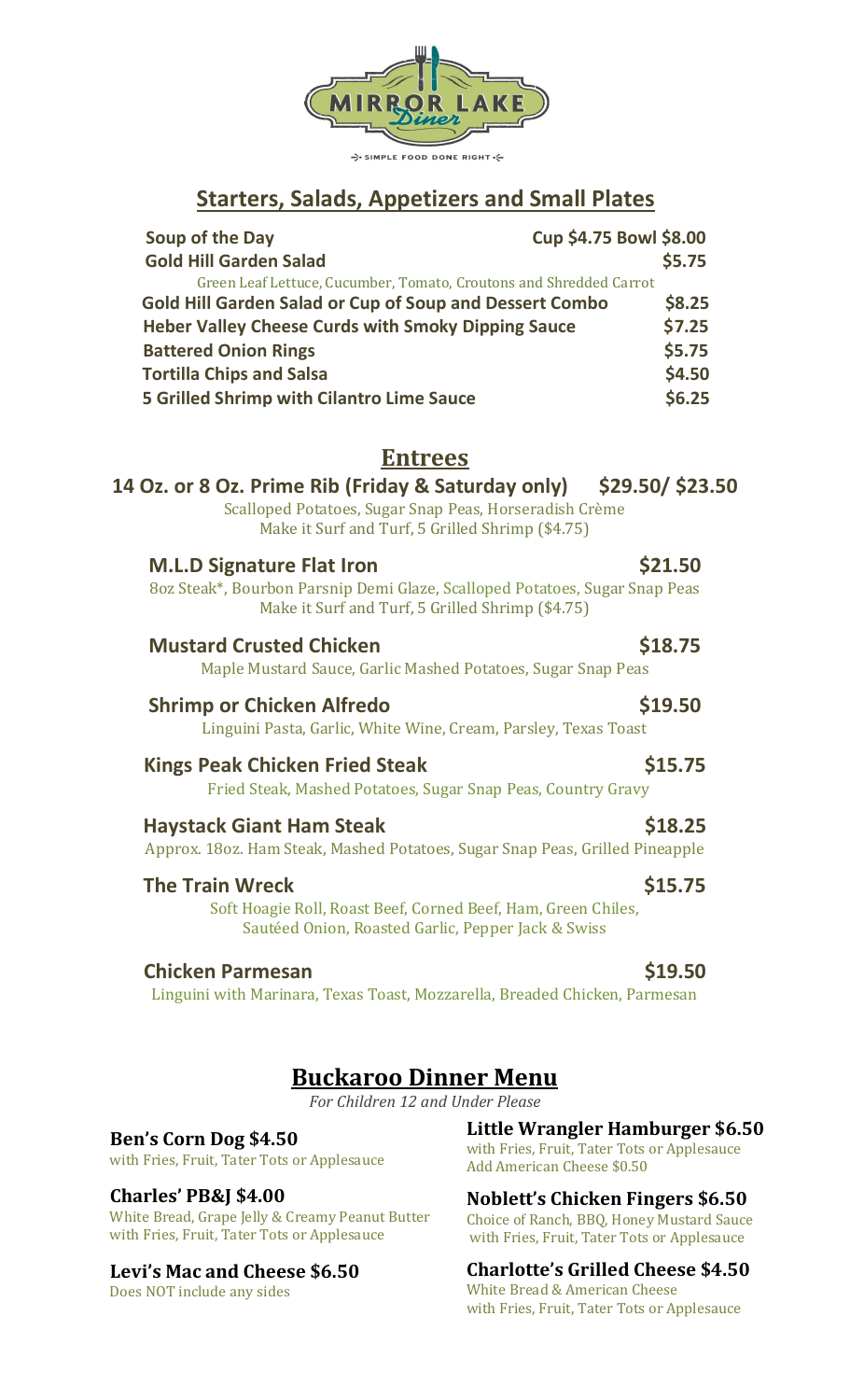

SIMPLE FOOD DONE RIGHT.

# **Starters, Salads, Appetizers and Small Plates**

| Soup of the Day                                                    | Cup \$4.75 Bowl \$8.00 |
|--------------------------------------------------------------------|------------------------|
| <b>Gold Hill Garden Salad</b>                                      | \$5.75                 |
| Green Leaf Lettuce, Cucumber, Tomato, Croutons and Shredded Carrot |                        |
| <b>Gold Hill Garden Salad or Cup of Soup and Dessert Combo</b>     | \$8.25                 |
| <b>Heber Valley Cheese Curds with Smoky Dipping Sauce</b>          | \$7.25                 |
| <b>Battered Onion Rings</b>                                        | \$5.75                 |
| <b>Tortilla Chips and Salsa</b>                                    | \$4.50                 |
| <b>5 Grilled Shrimp with Cilantro Lime Sauce</b>                   | \$6.25                 |

## **Entrees**

| 14 Oz. or 8 Oz. Prime Rib (Friday & Saturday only) \$29.50/ \$23.50<br>Scalloped Potatoes, Sugar Snap Peas, Horseradish Crème<br>Make it Surf and Turf, 5 Grilled Shrimp (\$4.75) |                |
|-----------------------------------------------------------------------------------------------------------------------------------------------------------------------------------|----------------|
| <b>M.L.D Signature Flat Iron</b><br>8oz Steak*, Bourbon Parsnip Demi Glaze, Scalloped Potatoes, Sugar Snap Peas<br>Make it Surf and Turf, 5 Grilled Shrimp (\$4.75)               | \$21.50        |
| <b>Mustard Crusted Chicken</b><br>Maple Mustard Sauce, Garlic Mashed Potatoes, Sugar Snap Peas                                                                                    | \$18.75        |
| <b>Shrimp or Chicken Alfredo</b><br>Linguini Pasta, Garlic, White Wine, Cream, Parsley, Texas Toast                                                                               | \$19.50        |
| <b>Kings Peak Chicken Fried Steak</b><br>Fried Steak, Mashed Potatoes, Sugar Snap Peas, Country Gravy                                                                             | \$15.75        |
| <b>Haystack Giant Ham Steak</b><br>Approx. 180z. Ham Steak, Mashed Potatoes, Sugar Snap Peas, Grilled Pineapple                                                                   | \$18.25        |
| <b>The Train Wreck</b><br>Soft Hoagie Roll, Roast Beef, Corned Beef, Ham, Green Chiles,<br>Sautéed Onion, Roasted Garlic, Pepper Jack & Swiss                                     | \$15.75        |
| <b>Chicken Parmesan</b><br>Linguini with Marinara, Texas Toast, Mozzarella, Breaded Chicken, Parmesan                                                                             | <b>\$19.50</b> |

# **Buckaroo Dinner Menu**

*For Children 12 and Under Please*

 **Ben's Corn Dog \$4.50** with Fries, Fruit, Tater Tots or Applesauce

### **Charles' PB&J \$4.00**

White Bread, Grape Jelly & Creamy Peanut Butter with Fries, Fruit, Tater Tots or Applesauce

### **Levi's Mac and Cheese \$6.50**

Does NOT include any sides

**Little Wrangler Hamburger \$6.50** with Fries, Fruit, Tater Tots or Applesauce Add American Cheese \$0.50

**Noblett's Chicken Fingers \$6.50** Choice of Ranch, BBQ, Honey Mustard Sauce with Fries, Fruit, Tater Tots or Applesauce

### **Charlotte's Grilled Cheese \$4.50**

White Bread & American Cheese with Fries, Fruit, Tater Tots or Applesauce